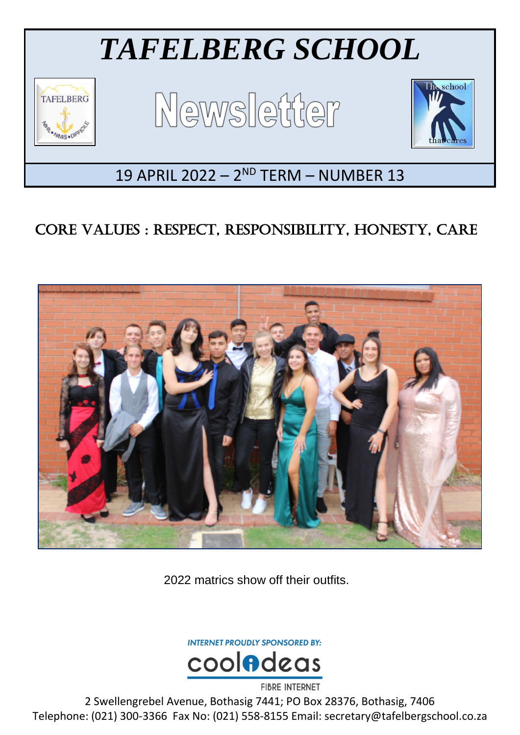

## CORE VALUES : RESPECT, RESPONSIBILITY, HONESTY, CARE



2022 matrics show off their outfits.

**INTERNET PROUDLY SPONSORED BY:** 



2 Swellengrebel Avenue, Bothasig 7441; PO Box 28376, Bothasig, 7406 Telephone: (021) 300-3366 Fax No: (021) 558-8155 Email: secretary@tafelbergschool.co.za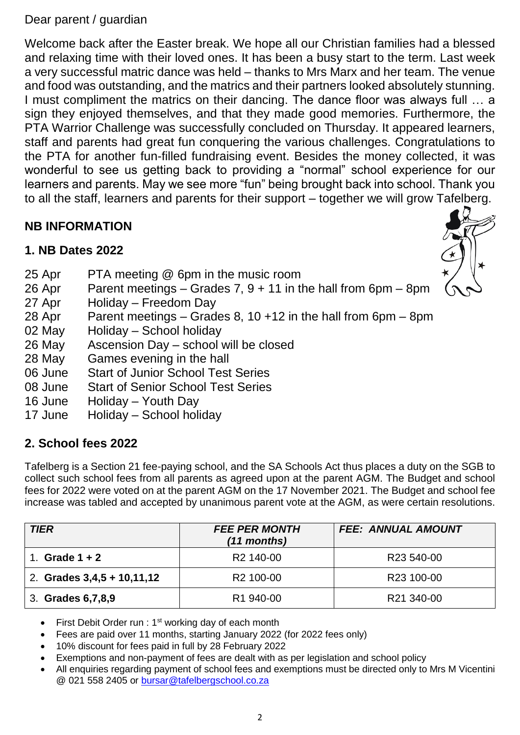#### Dear parent / guardian

Welcome back after the Easter break. We hope all our Christian families had a blessed and relaxing time with their loved ones. It has been a busy start to the term. Last week a very successful matric dance was held – thanks to Mrs Marx and her team. The venue and food was outstanding, and the matrics and their partners looked absolutely stunning. I must compliment the matrics on their dancing. The dance floor was always full … a sign they enjoyed themselves, and that they made good memories. Furthermore, the PTA Warrior Challenge was successfully concluded on Thursday. It appeared learners, staff and parents had great fun conquering the various challenges. Congratulations to the PTA for another fun-filled fundraising event. Besides the money collected, it was wonderful to see us getting back to providing a "normal" school experience for our learners and parents. May we see more "fun" being brought back into school. Thank you to all the staff, learners and parents for their support – together we will grow Tafelberg.

## **NB INFORMATION**

## **1. NB Dates 2022**

- 25 Apr PTA meeting @ 6pm in the music room
- 26 Apr Parent meetings Grades 7,  $9 + 11$  in the hall from 6pm 8pm
- 27 Apr Holiday Freedom Day
- 28 Apr Parent meetings Grades 8, 10 +12 in the hall from  $6$ pm  $8$ pm
- 
- 02 May Holiday School holiday<br>26 May Ascension Day school Ascension Day – school will be closed
- 28 May Games evening in the hall
- 06 June Start of Junior School Test Series
- 08 June Start of Senior School Test Series
- 16 June Holiday Youth Day
- 17 June Holiday School holiday

## **2. School fees 2022**

Tafelberg is a Section 21 fee-paying school, and the SA Schools Act thus places a duty on the SGB to collect such school fees from all parents as agreed upon at the parent AGM. The Budget and school fees for 2022 were voted on at the parent AGM on the 17 November 2021. The Budget and school fee increase was tabled and accepted by unanimous parent vote at the AGM, as were certain resolutions.

| <b>TIER</b>                  | <b>FEE PER MONTH</b><br>$(11$ months) | <b>FEE: ANNUAL AMOUNT</b> |
|------------------------------|---------------------------------------|---------------------------|
| Grade $1 + 2$                | R <sub>2</sub> 140-00                 | R <sub>23</sub> 540-00    |
| 2. Grades $3,4,5 + 10,11,12$ | R <sub>2</sub> 100-00                 | R <sub>23</sub> 100-00    |
| 3. Grades 6,7,8,9            | R <sub>1</sub> 940-00                 | R21 340-00                |

First Debit Order run :  $1<sup>st</sup>$  working day of each month

- Fees are paid over 11 months, starting January 2022 (for 2022 fees only)
- 10% discount for fees paid in full by 28 February 2022
- Exemptions and non-payment of fees are dealt with as per legislation and school policy
- All enquiries regarding payment of school fees and exemptions must be directed only to Mrs M Vicentini @ 021 558 2405 or [bursar@tafelbergschool.co.za](mailto:bursar@tafelbergschool.co.za)

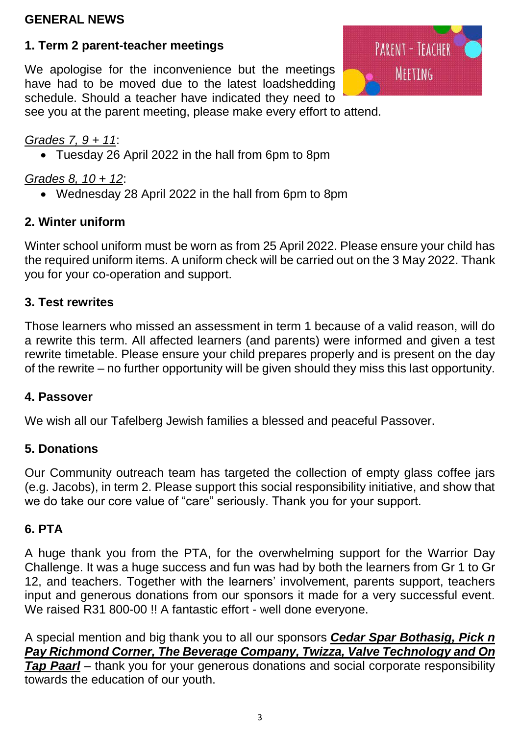#### **GENERAL NEWS**

## **1. Term 2 parent-teacher meetings**

We apologise for the inconvenience but the meetings have had to be moved due to the latest loadshedding schedule. Should a teacher have indicated they need to see you at the parent meeting, please make every effort to attend.



### *Grades 7, 9 + 11*:

Tuesday 26 April 2022 in the hall from 6pm to 8pm

## *Grades 8, 10 + 12*:

Wednesday 28 April 2022 in the hall from 6pm to 8pm

## **2. Winter uniform**

Winter school uniform must be worn as from 25 April 2022. Please ensure your child has the required uniform items. A uniform check will be carried out on the 3 May 2022. Thank you for your co-operation and support.

#### **3. Test rewrites**

Those learners who missed an assessment in term 1 because of a valid reason, will do a rewrite this term. All affected learners (and parents) were informed and given a test rewrite timetable. Please ensure your child prepares properly and is present on the day of the rewrite – no further opportunity will be given should they miss this last opportunity.

#### **4. Passover**

We wish all our Tafelberg Jewish families a blessed and peaceful Passover.

#### **5. Donations**

Our Community outreach team has targeted the collection of empty glass coffee jars (e.g. Jacobs), in term 2. Please support this social responsibility initiative, and show that we do take our core value of "care" seriously. Thank you for your support.

#### **6. PTA**

A huge thank you from the PTA, for the overwhelming support for the Warrior Day Challenge. It was a huge success and fun was had by both the learners from Gr 1 to Gr 12, and teachers. Together with the learners' involvement, parents support, teachers input and generous donations from our sponsors it made for a very successful event. We raised R31 800-00 !! A fantastic effort - well done everyone.

A special mention and big thank you to all our sponsors *Cedar Spar Bothasig, Pick n Pay Richmond Corner, The Beverage Company, Twizza, Valve Technology and On Tap Paarl* – thank you for your generous donations and social corporate responsibility towards the education of our youth.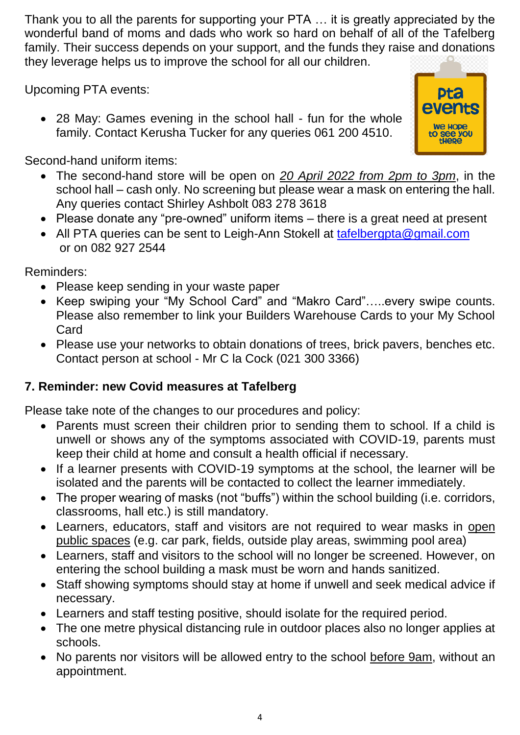Thank you to all the parents for supporting your PTA … it is greatly appreciated by the wonderful band of moms and dads who work so hard on behalf of all of the Tafelberg family. Their success depends on your support, and the funds they raise and donations they leverage helps us to improve the school for all our children.

Upcoming PTA events:

• 28 May: Games evening in the school hall - fun for the whole family. Contact Kerusha Tucker for any queries 061 200 4510.



Second-hand uniform items:

- The second-hand store will be open on *20 April 2022 from 2pm to 3pm*, in the school hall – cash only. No screening but please wear a mask on entering the hall. Any queries contact Shirley Ashbolt 083 278 3618
- Please donate any "pre-owned" uniform items there is a great need at present
- All PTA queries can be sent to Leigh-Ann Stokell at [tafelbergpta@gmail.com](mailto:tafelbergpta@gmail.com) or on 082 927 2544

Reminders:

- Please keep sending in your waste paper
- Keep swiping your "My School Card" and "Makro Card"…..every swipe counts. Please also remember to link your Builders Warehouse Cards to your My School Card
- Please use your networks to obtain donations of trees, brick pavers, benches etc. Contact person at school - Mr C la Cock (021 300 3366)

## **7. Reminder: new Covid measures at Tafelberg**

Please take note of the changes to our procedures and policy:

- Parents must screen their children prior to sending them to school. If a child is unwell or shows any of the symptoms associated with COVID-19, parents must keep their child at home and consult a health official if necessary.
- If a learner presents with COVID-19 symptoms at the school, the learner will be isolated and the parents will be contacted to collect the learner immediately.
- The proper wearing of masks (not "buffs") within the school building (i.e. corridors, classrooms, hall etc.) is still mandatory.
- Learners, educators, staff and visitors are not required to wear masks in open public spaces (e.g. car park, fields, outside play areas, swimming pool area)
- Learners, staff and visitors to the school will no longer be screened. However, on entering the school building a mask must be worn and hands sanitized.
- Staff showing symptoms should stay at home if unwell and seek medical advice if necessary.
- Learners and staff testing positive, should isolate for the required period.
- The one metre physical distancing rule in outdoor places also no longer applies at schools.
- No parents nor visitors will be allowed entry to the school before 9am, without an appointment.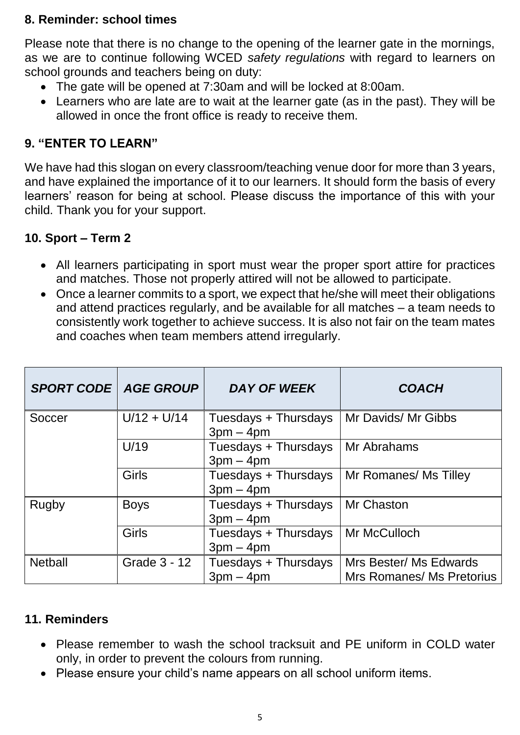#### **8. Reminder: school times**

Please note that there is no change to the opening of the learner gate in the mornings, as we are to continue following WCED *safety regulations* with regard to learners on school grounds and teachers being on duty:

- The gate will be opened at 7:30am and will be locked at 8:00am.
- Learners who are late are to wait at the learner gate (as in the past). They will be allowed in once the front office is ready to receive them.

#### **9. "ENTER TO LEARN"**

We have had this slogan on every classroom/teaching venue door for more than 3 years, and have explained the importance of it to our learners. It should form the basis of every learners' reason for being at school. Please discuss the importance of this with your child. Thank you for your support.

#### **10. Sport – Term 2**

- All learners participating in sport must wear the proper sport attire for practices and matches. Those not properly attired will not be allowed to participate.
- Once a learner commits to a sport, we expect that he/she will meet their obligations and attend practices regularly, and be available for all matches – a team needs to consistently work together to achieve success. It is also not fair on the team mates and coaches when team members attend irregularly.

| <b>SPORT CODE   AGE GROUP</b> |               | <b>DAY OF WEEK</b>                  | <b>COACH</b>                                        |
|-------------------------------|---------------|-------------------------------------|-----------------------------------------------------|
| Soccer                        | $U/12 + U/14$ | Tuesdays + Thursdays<br>$3pm - 4pm$ | Mr Davids/ Mr Gibbs                                 |
|                               | U/19          | Tuesdays + Thursdays<br>$3pm - 4pm$ | Mr Abrahams                                         |
|                               | <b>Girls</b>  | Tuesdays + Thursdays<br>$3pm - 4pm$ | Mr Romanes/ Ms Tilley                               |
| Rugby                         | <b>Boys</b>   | Tuesdays + Thursdays<br>$3pm - 4pm$ | Mr Chaston                                          |
|                               | <b>Girls</b>  | Tuesdays + Thursdays<br>$3pm - 4pm$ | Mr McCulloch                                        |
| <b>Netball</b>                | Grade 3 - 12  | Tuesdays + Thursdays<br>$3pm - 4pm$ | Mrs Bester/ Ms Edwards<br>Mrs Romanes/ Ms Pretorius |

#### **11. Reminders**

- Please remember to wash the school tracksuit and PE uniform in COLD water only, in order to prevent the colours from running.
- Please ensure your child's name appears on all school uniform items.